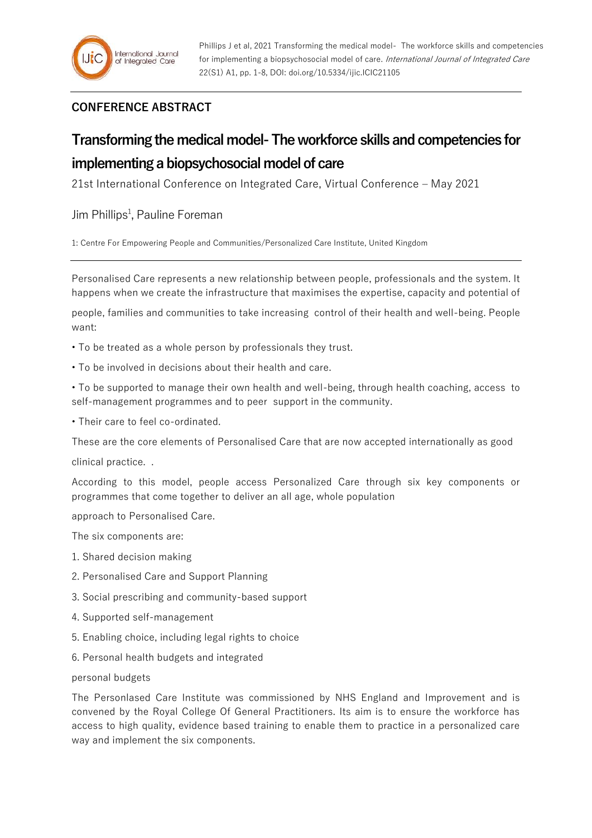## **CONFERENCE ABSTRACT**

## **Transforming the medical model-The workforce skills and competencies for implementing a biopsychosocial model of care**

21st International Conference on Integrated Care, Virtual Conference – May 2021

Jim Phillips<sup>1</sup>, Pauline Foreman

1: Centre For Empowering People and Communities/Personalized Care Institute, United Kingdom

Personalised Care represents a new relationship between people, professionals and the system. It happens when we create the infrastructure that maximises the expertise, capacity and potential of

people, families and communities to take increasing control of their health and well-being. People want:

- To be treated as a whole person by professionals they trust.
- To be involved in decisions about their health and care.

• To be supported to manage their own health and well-being, through health coaching, access to self-management programmes and to peer support in the community.

• Their care to feel co-ordinated.

These are the core elements of Personalised Care that are now accepted internationally as good

clinical practice. .

According to this model, people access Personalized Care through six key components or programmes that come together to deliver an all age, whole population

approach to Personalised Care.

The six components are:

- 1. Shared decision making
- 2. Personalised Care and Support Planning
- 3. Social prescribing and community-based support
- 4. Supported self-management
- 5. Enabling choice, including legal rights to choice
- 6. Personal health budgets and integrated

personal budgets

The Personlased Care Institute was commissioned by NHS England and Improvement and is convened by the Royal College Of General Practitioners. Its aim is to ensure the workforce has access to high quality, evidence based training to enable them to practice in a personalized care way and implement the six components.